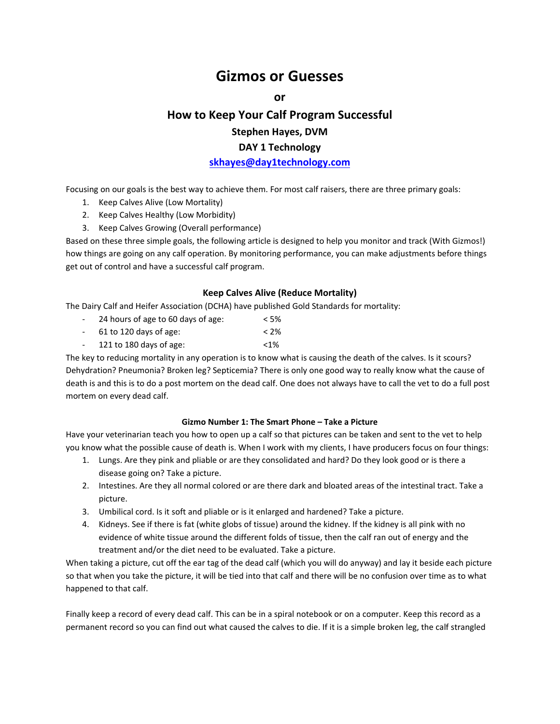# **Gizmos or Guesses**

 $or$ 

# **How to Keep Your Calf Program Successful Stephen Hayes, DVM DAY 1 Technology**

# **skhayes@day1technology.com**

Focusing on our goals is the best way to achieve them. For most calf raisers, there are three primary goals:

- 1. Keep Calves Alive (Low Mortality)
- 2. Keep Calves Healthy (Low Morbidity)
- 3. Keep Calves Growing (Overall performance)

Based on these three simple goals, the following article is designed to help you monitor and track (With Gizmos!) how things are going on any calf operation. By monitoring performance, you can make adjustments before things get out of control and have a successful calf program.

# **Keep Calves Alive (Reduce Mortality)**

The Dairy Calf and Heifer Association (DCHA) have published Gold Standards for mortality:

- ‐ 24 hours of age to 60 days of age: < 5%
- ‐ 61 to 120 days of age: < 2%
- ‐ 121 to 180 days of age: <1%

The key to reducing mortality in any operation is to know what is causing the death of the calves. Is it scours? Dehydration? Pneumonia? Broken leg? Septicemia? There is only one good way to really know what the cause of death is and this is to do a post mortem on the dead calf. One does not always have to call the vet to do a full post mortem on every dead calf.

# **Gizmo Number 1: The Smart Phone – Take a Picture**

Have your veterinarian teach you how to open up a calf so that pictures can be taken and sent to the vet to help you know what the possible cause of death is. When I work with my clients, I have producers focus on four things:

- 1. Lungs. Are they pink and pliable or are they consolidated and hard? Do they look good or is there a disease going on? Take a picture.
- 2. Intestines. Are they all normal colored or are there dark and bloated areas of the intestinal tract. Take a picture.
- 3. Umbilical cord. Is it soft and pliable or is it enlarged and hardened? Take a picture.
- 4. Kidneys. See if there is fat (white globs of tissue) around the kidney. If the kidney is all pink with no evidence of white tissue around the different folds of tissue, then the calf ran out of energy and the treatment and/or the diet need to be evaluated. Take a picture.

When taking a picture, cut off the ear tag of the dead calf (which you will do anyway) and lay it beside each picture so that when you take the picture, it will be tied into that calf and there will be no confusion over time as to what happened to that calf.

Finally keep a record of every dead calf. This can be in a spiral notebook or on a computer. Keep this record as a permanent record so you can find out what caused the calves to die. If it is a simple broken leg, the calf strangled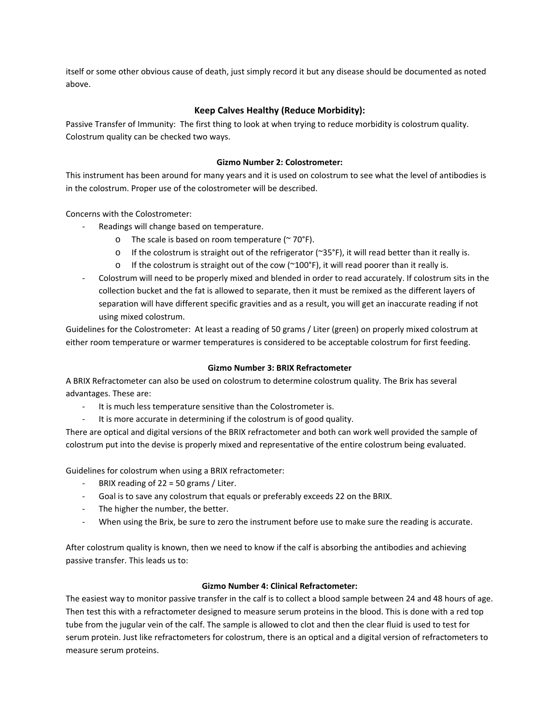itself or some other obvious cause of death, just simply record it but any disease should be documented as noted above.

# **Keep Calves Healthy (Reduce Morbidity):**

Passive Transfer of Immunity: The first thing to look at when trying to reduce morbidity is colostrum quality. Colostrum quality can be checked two ways.

# **Gizmo Number 2: Colostrometer:**

This instrument has been around for many years and it is used on colostrum to see what the level of antibodies is in the colostrum. Proper use of the colostrometer will be described.

Concerns with the Colostrometer:

- ‐ Readings will change based on temperature.
	- $\circ$  The scale is based on room temperature ( $\sim$  70°F).
	- o If the colostrum is straight out of the refrigerator (~35°F), it will read better than it really is.
	- $\circ$  If the colostrum is straight out of the cow (~100°F), it will read poorer than it really is.
- ‐ Colostrum will need to be properly mixed and blended in order to read accurately. If colostrum sits in the collection bucket and the fat is allowed to separate, then it must be remixed as the different layers of separation will have different specific gravities and as a result, you will get an inaccurate reading if not using mixed colostrum.

Guidelines for the Colostrometer: At least a reading of 50 grams / Liter (green) on properly mixed colostrum at either room temperature or warmer temperatures is considered to be acceptable colostrum for first feeding.

# **Gizmo Number 3: BRIX Refractometer**

A BRIX Refractometer can also be used on colostrum to determine colostrum quality. The Brix has several advantages. These are:

- It is much less temperature sensitive than the Colostrometer is.
- It is more accurate in determining if the colostrum is of good quality.

There are optical and digital versions of the BRIX refractometer and both can work well provided the sample of colostrum put into the devise is properly mixed and representative of the entire colostrum being evaluated.

Guidelines for colostrum when using a BRIX refractometer:

- ‐ BRIX reading of 22 = 50 grams / Liter.
- ‐ Goal is to save any colostrum that equals or preferably exceeds 22 on the BRIX.
- ‐ The higher the number, the better.
- ‐ When using the Brix, be sure to zero the instrument before use to make sure the reading is accurate.

After colostrum quality is known, then we need to know if the calf is absorbing the antibodies and achieving passive transfer. This leads us to:

# **Gizmo Number 4: Clinical Refractometer:**

The easiest way to monitor passive transfer in the calf is to collect a blood sample between 24 and 48 hours of age. Then test this with a refractometer designed to measure serum proteins in the blood. This is done with a red top tube from the jugular vein of the calf. The sample is allowed to clot and then the clear fluid is used to test for serum protein. Just like refractometers for colostrum, there is an optical and a digital version of refractometers to measure serum proteins.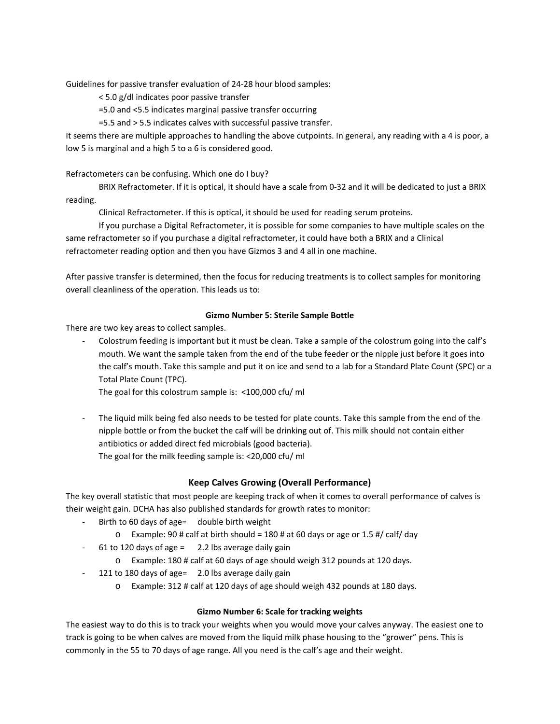Guidelines for passive transfer evaluation of 24‐28 hour blood samples:

< 5.0 g/dl indicates poor passive transfer

=5.0 and <5.5 indicates marginal passive transfer occurring

=5.5 and > 5.5 indicates calves with successful passive transfer.

It seems there are multiple approaches to handling the above cutpoints. In general, any reading with a 4 is poor, a low 5 is marginal and a high 5 to a 6 is considered good.

#### Refractometers can be confusing. Which one do I buy?

BRIX Refractometer. If it is optical, it should have a scale from 0‐32 and it will be dedicated to just a BRIX reading.

Clinical Refractometer. If this is optical, it should be used for reading serum proteins.

If you purchase a Digital Refractometer, it is possible for some companies to have multiple scales on the same refractometer so if you purchase a digital refractometer, it could have both a BRIX and a Clinical refractometer reading option and then you have Gizmos 3 and 4 all in one machine.

After passive transfer is determined, then the focus for reducing treatments is to collect samples for monitoring overall cleanliness of the operation. This leads us to:

#### **Gizmo Number 5: Sterile Sample Bottle**

There are two key areas to collect samples.

‐ Colostrum feeding is important but it must be clean. Take a sample of the colostrum going into the calf's mouth. We want the sample taken from the end of the tube feeder or the nipple just before it goes into the calf's mouth. Take this sample and put it on ice and send to a lab for a Standard Plate Count (SPC) or a Total Plate Count (TPC).

The goal for this colostrum sample is: <100,000 cfu/ ml

The liquid milk being fed also needs to be tested for plate counts. Take this sample from the end of the nipple bottle or from the bucket the calf will be drinking out of. This milk should not contain either antibiotics or added direct fed microbials (good bacteria). The goal for the milk feeding sample is: <20,000 cfu/ ml

#### **Keep Calves Growing (Overall Performance)**

The key overall statistic that most people are keeping track of when it comes to overall performance of calves is their weight gain. DCHA has also published standards for growth rates to monitor:

- Birth to 60 days of age= double birth weight
	- $\circ$  Example: 90 # calf at birth should = 180 # at 60 days or age or 1.5 #/ calf/ day
- $61$  to 120 days of age = 2.2 lbs average daily gain
	- o Example: 180 # calf at 60 days of age should weigh 312 pounds at 120 days.
- 121 to 180 days of age= 2.0 lbs average daily gain
	- o Example: 312 # calf at 120 days of age should weigh 432 pounds at 180 days.

#### **Gizmo Number 6: Scale for tracking weights**

The easiest way to do this is to track your weights when you would move your calves anyway. The easiest one to track is going to be when calves are moved from the liquid milk phase housing to the "grower" pens. This is commonly in the 55 to 70 days of age range. All you need is the calf's age and their weight.